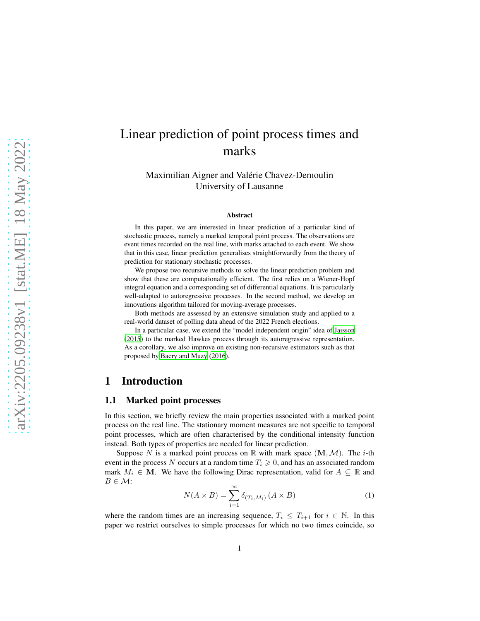# Linear prediction of point process times and marks

Maximilian Aigner and Valérie Chavez-Demoulin University of Lausanne

#### Abstract

In this paper, we are interested in linear prediction of a particular kind of stochastic process, namely a marked temporal point process. The observations are event times recorded on the real line, with marks attached to each event. We show that in this case, linear prediction generalises straightforwardly from the theory of prediction for stationary stochastic processes.

We propose two recursive methods to solve the linear prediction problem and show that these are computationally efficient. The first relies on a Wiener-Hopf integral equation and a corresponding set of differential equations. It is particularly well-adapted to autoregressive processes. In the second method, we develop an innovations algorithm tailored for moving-average processes.

Both methods are assessed by an extensive simulation study and applied to a real-world dataset of polling data ahead of the 2022 French elections.

In a particular case, we extend the "model independent origin" idea of [Jaisson](#page-15-0) [\(2015](#page-15-0)) to the marked Hawkes process through its autoregressive representation. As a corollary, we also improve on existing non-recursive estimators such as that proposed by [Bacry and Muzy \(2016\)](#page-15-1).

# 1 Introduction

## 1.1 Marked point processes

In this section, we briefly review the main properties associated with a marked point process on the real line. The stationary moment measures are not specific to temporal point processes, which are often characterised by the conditional intensity function instead. Both types of properties are needed for linear prediction.

Suppose N is a marked point process on R with mark space  $(M, M)$ . The *i*-th event in the process N occurs at a random time  $T_i \geq 0$ , and has an associated random mark  $M_i \in \mathbf{M}$ . We have the following Dirac representation, valid for  $A \subseteq \mathbb{R}$  and  $B \in \mathcal{M}$ :

$$
N(A \times B) = \sum_{i=1}^{\infty} \delta_{(T_i, M_i)} (A \times B)
$$
 (1)

where the random times are an increasing sequence,  $T_i \leq T_{i+1}$  for  $i \in \mathbb{N}$ . In this paper we restrict ourselves to simple processes for which no two times coincide, so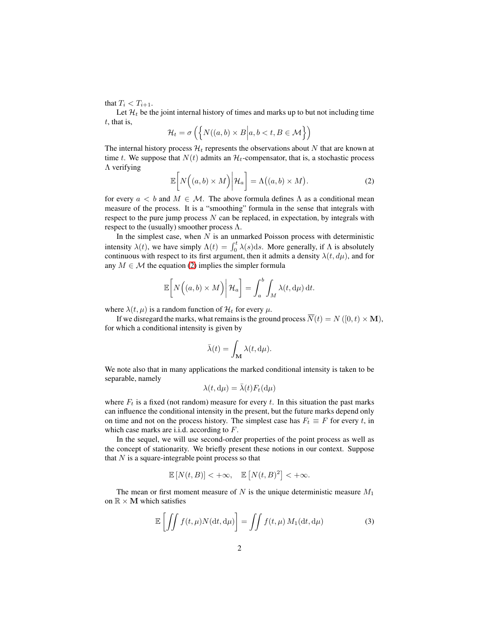that  $T_i < T_{i+1}$ .

Let  $\mathcal{H}_t$  be the joint internal history of times and marks up to but not including time  $t$ , that is,

$$
\mathcal{H}_t = \sigma\left(\left\{N((a,b)\times B \middle| a, b < t, B \in \mathcal{M}\right\}\right)
$$

The internal history process  $\mathcal{H}_t$  represents the observations about N that are known at time t. We suppose that  $N(t)$  admits an  $\mathcal{H}_t$ -compensator, that is, a stochastic process Λ verifying

<span id="page-1-0"></span>
$$
\mathbb{E}\bigg[N\Big((a,b)\times M\Big)\bigg|\mathcal{H}_a\bigg]=\Lambda\big((a,b)\times M\big).
$$
 (2)

for every  $a < b$  and  $M \in \mathcal{M}$ . The above formula defines  $\Lambda$  as a conditional mean measure of the process. It is a "smoothing" formula in the sense that integrals with respect to the pure jump process  $N$  can be replaced, in expectation, by integrals with respect to the (usually) smoother process  $\Lambda$ .

In the simplest case, when  $N$  is an unmarked Poisson process with deterministic intensity  $\lambda(t)$ , we have simply  $\Lambda(t) = \int_0^t \lambda(s) ds$ . More generally, if  $\Lambda$  is absolutely continuous with respect to its first argument, then it admits a density  $\lambda(t, d\mu)$ , and for any  $M \in \mathcal{M}$  the equation [\(2\)](#page-1-0) implies the simpler formula

$$
\mathbb{E}\bigg[N\Big((a,b)\times M\Big)\bigg|\,\mathcal{H}_a\bigg]=\int_a^b\int_M \lambda(t,\mathrm{d}\mu)\,\mathrm{d}t.
$$

where  $\lambda(t, \mu)$  is a random function of  $\mathcal{H}_t$  for every  $\mu$ .

If we disregard the marks, what remains is the ground process  $\overline{N}(t) = N([0, t) \times M)$ , for which a conditional intensity is given by

$$
\bar{\lambda}(t) = \int_{\mathbf{M}} \lambda(t, \mathrm{d}\mu).
$$

We note also that in many applications the marked conditional intensity is taken to be separable, namely

$$
\lambda(t, \mathrm{d}\mu) = \bar{\lambda}(t) F_t(\mathrm{d}\mu)
$$

where  $F_t$  is a fixed (not random) measure for every t. In this situation the past marks can influence the conditional intensity in the present, but the future marks depend only on time and not on the process history. The simplest case has  $F_t \equiv F$  for every t, in which case marks are i.i.d. according to  $F$ .

In the sequel, we will use second-order properties of the point process as well as the concept of stationarity. We briefly present these notions in our context. Suppose that  $N$  is a square-integrable point process so that

$$
\mathbb{E}\left[N(t,B)\right]<+\infty,\quad \mathbb{E}\left[N(t,B)^2\right]<+\infty.
$$

The mean or first moment measure of  $N$  is the unique deterministic measure  $M_1$ on  $\mathbb{R} \times M$  which satisfies

<span id="page-1-1"></span>
$$
\mathbb{E}\left[\iint f(t,\mu)N(\mathrm{d}t,\mathrm{d}\mu)\right] = \iint f(t,\mu)\,M_1(\mathrm{d}t,\mathrm{d}\mu) \tag{3}
$$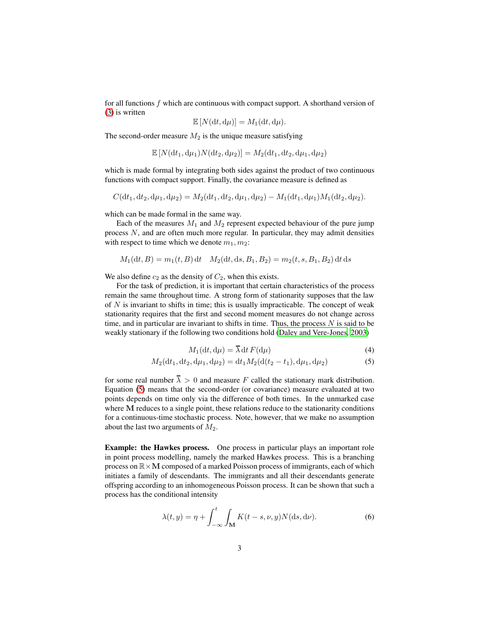for all functions f which are continuous with compact support. A shorthand version of [\(3\)](#page-1-1) is written

$$
\mathbb{E}\left[N(\mathrm{d}t,\mathrm{d}\mu)\right] = M_1(\mathrm{d}t,\mathrm{d}\mu).
$$

The second-order measure  $M_2$  is the unique measure satisfying

$$
\mathbb{E}[N(\mathrm{d}t_1, \mathrm{d}\mu_1)N(\mathrm{d}t_2, \mathrm{d}\mu_2)] = M_2(\mathrm{d}t_1, \mathrm{d}t_2, \mathrm{d}\mu_1, \mathrm{d}\mu_2)
$$

which is made formal by integrating both sides against the product of two continuous functions with compact support. Finally, the covariance measure is defined as

$$
C(\mathrm{d}t_1, \mathrm{d}t_2, \mathrm{d}\mu_1, \mathrm{d}\mu_2) = M_2(\mathrm{d}t_1, \mathrm{d}t_2, \mathrm{d}\mu_1, \mathrm{d}\mu_2) - M_1(\mathrm{d}t_1, \mathrm{d}\mu_1)M_1(\mathrm{d}t_2, \mathrm{d}\mu_2).
$$

which can be made formal in the same way.

Each of the measures  $M_1$  and  $M_2$  represent expected behaviour of the pure jump process N, and are often much more regular. In particular, they may admit densities with respect to time which we denote  $m_1, m_2$ :

$$
M_1(\mathrm{d}t, B) = m_1(t, B) \mathrm{d}t
$$
  $M_2(\mathrm{d}t, \mathrm{d}s, B_1, B_2) = m_2(t, s, B_1, B_2) \mathrm{d}t \mathrm{d}s$ 

We also define  $c_2$  as the density of  $C_2$ , when this exists.

For the task of prediction, it is important that certain characteristics of the process remain the same throughout time. A strong form of stationarity supposes that the law of  $N$  is invariant to shifts in time; this is usually impracticable. The concept of weak stationarity requires that the first and second moment measures do not change across time, and in particular are invariant to shifts in time. Thus, the process  $N$  is said to be weakly stationary if the following two conditions hold [\(Daley and Vere-Jones, 2003\)](#page-15-2)

<span id="page-2-0"></span>
$$
M_1(\mathrm{d}t, \mathrm{d}\mu) = \lambda \, \mathrm{d}t \, F(\mathrm{d}\mu) \tag{4}
$$

$$
M_2(\mathrm{d}t_1, \mathrm{d}t_2, \mathrm{d}\mu_1, \mathrm{d}\mu_2) = \mathrm{d}t_1 M_2(\mathrm{d}(t_2 - t_1), \mathrm{d}\mu_1, \mathrm{d}\mu_2)
$$
(5)

for some real number  $\overline{\lambda} > 0$  and measure F called the stationary mark distribution. Equation [\(5\)](#page-2-0) means that the second-order (or covariance) measure evaluated at two points depends on time only via the difference of both times. In the unmarked case where M reduces to a single point, these relations reduce to the stationarity conditions for a continuous-time stochastic process. Note, however, that we make no assumption about the last two arguments of  $M_2$ .

Example: the Hawkes process. One process in particular plays an important role in point process modelling, namely the marked Hawkes process. This is a branching process on  $\mathbb{R} \times M$  composed of a marked Poisson process of immigrants, each of which initiates a family of descendants. The immigrants and all their descendants generate offspring according to an inhomogeneous Poisson process. It can be shown that such a process has the conditional intensity

<span id="page-2-1"></span>
$$
\lambda(t, y) = \eta + \int_{-\infty}^{t} \int_{\mathbf{M}} K(t - s, \nu, y) N(ds, d\nu).
$$
 (6)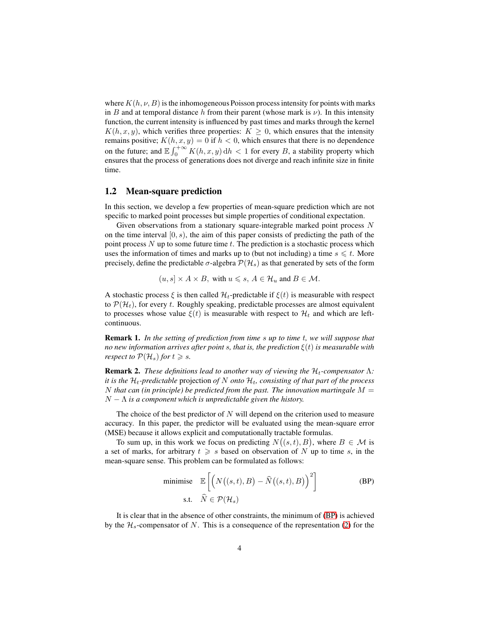where  $K(h, \nu, B)$  is the inhomogeneous Poisson process intensity for points with marks in B and at temporal distance h from their parent (whose mark is  $\nu$ ). In this intensity function, the current intensity is influenced by past times and marks through the kernel  $K(h, x, y)$ , which verifies three properties:  $K \geq 0$ , which ensures that the intensity remains positive;  $K(h, x, y) = 0$  if  $h < 0$ , which ensures that there is no dependence on the future; and  $\mathbb{E} \int_0^{+\infty} K(h, x, y) dh < 1$  for every B, a stability property which ensures that the process of generations does not diverge and reach infinite size in finite time.

## 1.2 Mean-square prediction

In this section, we develop a few properties of mean-square prediction which are not specific to marked point processes but simple properties of conditional expectation.

Given observations from a stationary square-integrable marked point process N on the time interval  $[0, s)$ , the aim of this paper consists of predicting the path of the point process  $N$  up to some future time  $t$ . The prediction is a stochastic process which uses the information of times and marks up to (but not including) a time  $s \leq t$ . More precisely, define the predictable  $\sigma$ -algebra  $\mathcal{P}(\mathcal{H}_s)$  as that generated by sets of the form

$$
(u, s] \times A \times B
$$
, with  $u \leq s$ ,  $A \in \mathcal{H}_u$  and  $B \in \mathcal{M}$ .

A stochastic process  $\xi$  is then called  $\mathcal{H}_t$ -predictable if  $\xi(t)$  is measurable with respect to  $\mathcal{P}(\mathcal{H}_t)$ , for every t. Roughly speaking, predictable processes are almost equivalent to processes whose value  $\xi(t)$  is measurable with respect to  $\mathcal{H}_t$  and which are leftcontinuous.

Remark 1. *In the setting of prediction from time* s *up to time* t*, we will suppose that no new information arrives after point s, that is, the prediction*  $\xi(t)$  *is measurable with respect to*  $\mathcal{P}(\mathcal{H}_s)$  *for*  $t \geq s$ *.* 

**Remark 2.** *These definitions lead to another way of viewing the*  $H_t$ -compensator  $\Lambda$ *: it is the*  $H_t$ -predictable projection of N onto  $H_t$ , consisting of that part of the process N that can (in principle) be predicted from the past. The innovation martingale  $M =$  $N - \Lambda$  *is a component which is unpredictable given the history.* 

The choice of the best predictor of  $N$  will depend on the criterion used to measure accuracy. In this paper, the predictor will be evaluated using the mean-square error (MSE) because it allows explicit and computationally tractable formulas.

To sum up, in this work we focus on predicting  $N((s,t), B)$ , where  $B \in \mathcal{M}$  is a set of marks, for arbitrary  $t \geq s$  based on observation of N up to time s, in the mean-square sense. This problem can be formulated as follows:

<span id="page-3-0"></span>minimise 
$$
\mathbb{E}\left[\left(N((s,t),B)-\widehat{N}((s,t),B)\right)^2\right]
$$
 (BP)  
s.t.  $\widehat{N} \in \mathcal{P}(\mathcal{H}_s)$ 

It is clear that in the absence of other constraints, the minimum of [\(BP\)](#page-3-0) is achieved by the  $\mathcal{H}_s$ -compensator of N. This is a consequence of the representation [\(2\)](#page-1-0) for the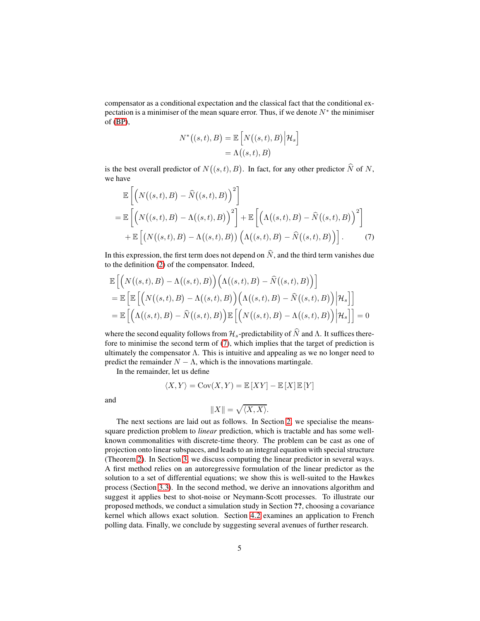compensator as a conditional expectation and the classical fact that the conditional expectation is a minimiser of the mean square error. Thus, if we denote  $N^*$  the minimiser of [\(BP\)](#page-3-0),

<span id="page-4-0"></span>
$$
N^*\big((s,t),B\big) = \mathbb{E}\left[N\big((s,t),B\big)\Big|\mathcal{H}_s\right] = \Lambda\big((s,t),B\big)
$$

is the best overall predictor of  $N((s,t), B)$ . In fact, for any other predictor  $\widehat{N}$  of N, we have

$$
\mathbb{E}\left[\left(N\big((s,t),B\big)-\widehat{N}\big((s,t),B\big)\right)^{2}\right] \n= \mathbb{E}\left[\left(N\big((s,t),B\big)-\Lambda\big((s,t),B\big)\right)^{2}\right]+\mathbb{E}\left[\left(\Lambda\big((s,t),B\big)-\widehat{N}\big((s,t),B\big)\right)^{2}\right] \n+ \mathbb{E}\left[\left(N\big((s,t),B\big)-\Lambda\big((s,t),B\big)\right)\left(\Lambda\big((s,t),B\big)-\widehat{N}\big((s,t),B\big)\right)\right].
$$
\n(7)

In this expression, the first term does not depend on  $\hat{N}$ , and the third term vanishes due to the definition [\(2\)](#page-1-0) of the compensator. Indeed,

$$
\mathbb{E}\left[\left(N\big((s,t),B\big)-\Lambda\big((s,t),B\big)\right)\Big(\Lambda\big((s,t),B\big)-\widehat{N}\big((s,t),B\big)\right)\right]
$$
\n
$$
=\mathbb{E}\left[\mathbb{E}\left[\left(N\big((s,t),B\big)-\Lambda\big((s,t),B\big)\right)\Big(\Lambda\big((s,t),B\big)-\widehat{N}\big((s,t),B\big)\Big)\Big|\mathcal{H}_s\right]\right]
$$
\n
$$
=\mathbb{E}\left[\left(\Lambda\big((s,t),B\big)-\widehat{N}\big((s,t),B\big)\right)\mathbb{E}\left[\left(N\big((s,t),B\big)-\Lambda\big((s,t),B\big)\right)\Big|\mathcal{H}_s\right]\right]=0
$$

where the second equality follows from  $\mathcal{H}_s$ -predictability of  $\widehat{N}$  and Λ. It suffices therefore to minimise the second term of [\(7\)](#page-4-0), which implies that the target of prediction is ultimately the compensator  $\Lambda$ . This is intuitive and appealing as we no longer need to predict the remainder  $N - \Lambda$ , which is the innovations martingale.

In the remainder, let us define

$$
\langle X, Y \rangle = \text{Cov}(X, Y) = \mathbb{E}[XY] - \mathbb{E}[X]\mathbb{E}[Y]
$$

and

$$
||X||=\sqrt{\langle X,X\rangle}.
$$

The next sections are laid out as follows. In Section [2,](#page-5-0) we specialise the meanssquare prediction problem to *linear* prediction, which is tractable and has some wellknown commonalities with discrete-time theory. The problem can be cast as one of projection onto linear subspaces, and leads to an integral equation with special structure (Theorem [2\)](#page-12-0). In Section [3,](#page-9-0) we discuss computing the linear predictor in several ways. A first method relies on an autoregressive formulation of the linear predictor as the solution to a set of differential equations; we show this is well-suited to the Hawkes process (Section [3.3\)](#page-11-0). In the second method, we derive an innovations algorithm and suggest it applies best to shot-noise or Neymann-Scott processes. To illustrate our proposed methods, we conduct a simulation study in Section ??, choosing a covariance kernel which allows exact solution. Section [4.2](#page-14-0) examines an application to French polling data. Finally, we conclude by suggesting several avenues of further research.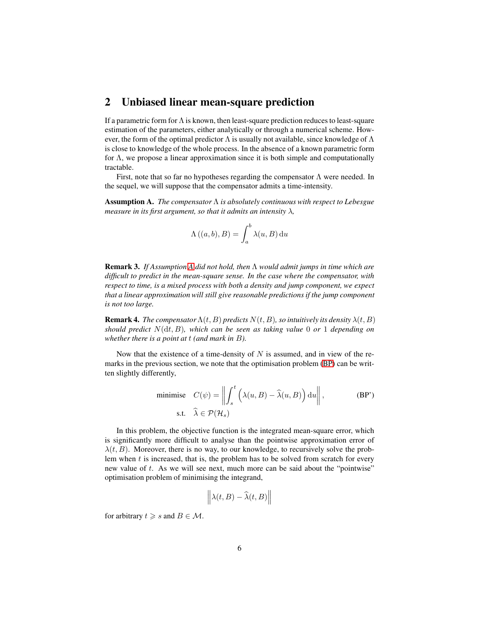# <span id="page-5-0"></span>2 Unbiased linear mean-square prediction

If a parametric form for  $\Lambda$  is known, then least-square prediction reduces to least-square estimation of the parameters, either analytically or through a numerical scheme. However, the form of the optimal predictor  $\Lambda$  is usually not available, since knowledge of  $\Lambda$ is close to knowledge of the whole process. In the absence of a known parametric form for  $\Lambda$ , we propose a linear approximation since it is both simple and computationally tractable.

<span id="page-5-1"></span>First, note that so far no hypotheses regarding the compensator  $\Lambda$  were needed. In the sequel, we will suppose that the compensator admits a time-intensity.

Assumption A. *The compensator* Λ *is absolutely continuous with respect to Lebesgue measure in its first argument, so that it admits an intensity*  $\lambda$ *,* 

$$
\Lambda\left((a,b),B\right) = \int_a^b \lambda(u,B) \, \mathrm{d}u
$$

Remark 3. *If Assumption [A](#page-5-1) did not hold, then* Λ *would admit jumps in time which are difficult to predict in the mean-square sense. In the case where the compensator, with respect to time, is a mixed process with both a density and jump component, we expect that a linear approximation will still give reasonable predictions if the jump component is not too large.*

**Remark 4.** *The compensator*  $\Lambda(t, B)$  *predicts*  $N(t, B)$ *, so intuitively its density*  $\lambda(t, B)$ *should predict* N(dt, B)*, which can be seen as taking value* 0 *or* 1 *depending on whether there is a point at t (and mark in B).* 

Now that the existence of a time-density of  $N$  is assumed, and in view of the remarks in the previous section, we note that the optimisation problem [\(BP\)](#page-3-0) can be written slightly differently,

minimise 
$$
C(\psi) = \left\| \int_s^t \left( \lambda(u, B) - \widehat{\lambda}(u, B) \right) du \right\|,
$$
 (BP')  
s.t.  $\widehat{\lambda} \in \mathcal{P}(\mathcal{H}_s)$ 

In this problem, the objective function is the integrated mean-square error, which is significantly more difficult to analyse than the pointwise approximation error of  $\lambda(t, B)$ . Moreover, there is no way, to our knowledge, to recursively solve the problem when  $t$  is increased, that is, the problem has to be solved from scratch for every new value of t. As we will see next, much more can be said about the "pointwise" optimisation problem of minimising the integrand,

$$
\Big\|\lambda(t,B)-\widehat\lambda(t,B)\Big\|
$$

for arbitrary  $t \geqslant s$  and  $B \in \mathcal{M}$ .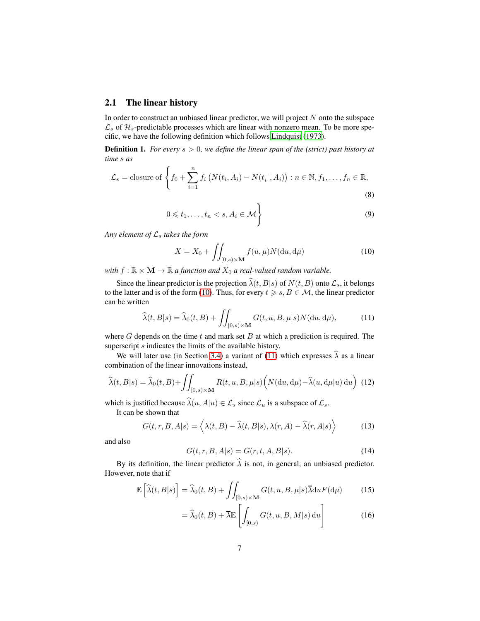## 2.1 The linear history

In order to construct an unbiased linear predictor, we will project  $N$  onto the subspace  $\mathcal{L}_s$  of  $\mathcal{H}_s$ -predictable processes which are linear with nonzero mean. To be more specific, we have the following definition which follows [Lindquist \(1973\)](#page-16-0).

**Definition 1.** *For every*  $s > 0$ *, we define the linear span of the (strict) past history at time* s *as*

$$
\mathcal{L}_s = \text{closure of } \left\{ f_0 + \sum_{i=1}^n f_i \left( N(t_i, A_i) - N(t_i^-, A_i) \right) : n \in \mathbb{N}, f_1, \dots, f_n \in \mathbb{R}, \right\}
$$
\n
$$
(8)
$$

$$
0 \leqslant t_1, \ldots, t_n < s, A_i \in \mathcal{M} \tag{9}
$$

*Any element of*  $\mathcal{L}_s$  *takes the form* 

<span id="page-6-0"></span>
$$
X = X_0 + \iint_{[0,s)\times \mathbf{M}} f(u,\mu) N(\mathrm{d}u, \mathrm{d}\mu)
$$
 (10)

*with*  $f : \mathbb{R} \times \mathbf{M} \to \mathbb{R}$  *a function and*  $X_0$  *a real-valued random variable.* 

Since the linear predictor is the projection  $\hat{\lambda}(t, B|s)$  of  $N(t, B)$  onto  $\mathcal{L}_s$ , it belongs to the latter and is of the form [\(10\)](#page-6-0). Thus, for every  $t \ge s, B \in \mathcal{M}$ , the linear predictor can be written

<span id="page-6-1"></span>
$$
\widehat{\lambda}(t,B|s) = \widehat{\lambda}_0(t,B) + \iint_{[0,s)\times \mathbf{M}} G(t,u,B,\mu|s) N(\mathrm{d}u,\mathrm{d}\mu),\tag{11}
$$

where  $G$  depends on the time  $t$  and mark set  $B$  at which a prediction is required. The superscript s indicates the limits of the available history.

We will later use (in Section [3.4\)](#page-12-1) a variant of [\(11\)](#page-6-1) which expresses  $\hat{\lambda}$  as a linear combination of the linear innovations instead,

<span id="page-6-2"></span>
$$
\widehat{\lambda}(t, B|s) = \widehat{\lambda}_0(t, B) + \iint_{[0, s) \times \mathbf{M}} R(t, u, B, \mu|s) \Big( N(\mathrm{d}u, \mathrm{d}\mu) - \widehat{\lambda}(u, \mathrm{d}\mu|u) \, \mathrm{d}u \Big) \tag{12}
$$

which is justified because  $\widehat{\lambda}(u, A|u) \in \mathcal{L}_s$  since  $\mathcal{L}_u$  is a subspace of  $\mathcal{L}_s$ .

It can be shown that

$$
G(t, r, B, A|s) = \langle \lambda(t, B) - \widehat{\lambda}(t, B|s), \lambda(r, A) - \widehat{\lambda}(r, A|s) \rangle \tag{13}
$$

and also

$$
G(t, r, B, A|s) = G(r, t, A, B|s).
$$
 (14)

By its definition, the linear predictor  $\widehat{\lambda}$  is not, in general, an unbiased predictor. However, note that if

$$
\mathbb{E}\left[\widehat{\lambda}(t,B|s)\right] = \widehat{\lambda}_0(t,B) + \iint_{[0,s)\times\mathbf{M}} G(t,u,B,\mu|s)\overline{\lambda}\mathrm{d}u F(\mathrm{d}\mu)
$$
(15)

$$
= \widehat{\lambda}_0(t, B) + \overline{\lambda} \mathbb{E}\left[\int_{[0,s)} G(t, u, B, M|s) \, \mathrm{d}u\right]
$$
 (16)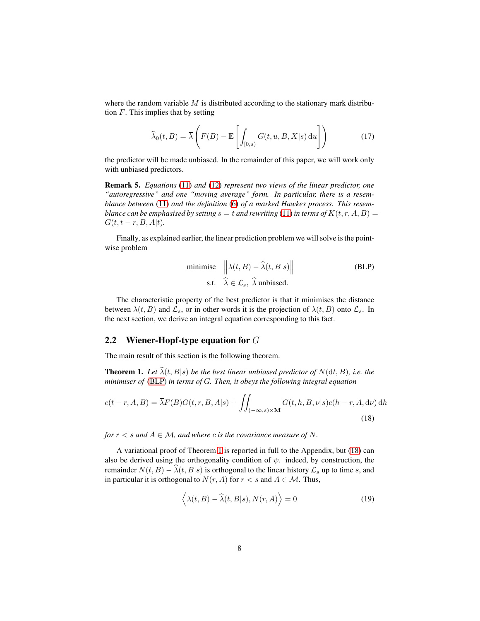where the random variable  $M$  is distributed according to the stationary mark distribution  $F$ . This implies that by setting

$$
\widehat{\lambda}_0(t, B) = \overline{\lambda}\left(F(B) - \mathbb{E}\left[\int_{[0,s)} G(t, u, B, X|s) du\right]\right) \tag{17}
$$

the predictor will be made unbiased. In the remainder of this paper, we will work only with unbiased predictors.

Remark 5. *Equations* [\(11\)](#page-6-1) *and* [\(12\)](#page-6-2) *represent two views of the linear predictor, one "autoregressive" and one "moving average" form. In particular, there is a resemblance between* [\(11\)](#page-6-1) *and the definition* [\(6\)](#page-2-1) *of a marked Hawkes process. This resemblance can be emphasised by setting*  $s = t$  *and rewriting* [\(11\)](#page-6-1) *in terms of*  $K(t, r, A, B) =$  $G(t, t - r, B, A|t)$ .

Finally, as explained earlier, the linear prediction problem we will solve is the pointwise problem

<span id="page-7-0"></span>minimise 
$$
\|\lambda(t, B) - \hat{\lambda}(t, B|s)\|
$$
 (BLP)  
s.t.  $\hat{\lambda} \in \mathcal{L}_s$ ,  $\hat{\lambda}$  unbiased.

The characteristic property of the best predictor is that it minimises the distance between  $\lambda(t, B)$  and  $\mathcal{L}_s$ , or in other words it is the projection of  $\lambda(t, B)$  onto  $\mathcal{L}_s$ . In the next section, we derive an integral equation corresponding to this fact.

## 2.2 Wiener-Hopf-type equation for  $G$

The main result of this section is the following theorem.

**Theorem 1.** Let  $\widehat{\lambda}(t, B|s)$  be the best linear unbiased predictor of  $N(\mathrm{d}t, B)$ , i.e. the *minimiser of* [\(BLP\)](#page-7-0) *in terms of* G*. Then, it obeys the following integral equation*

$$
c(t-r,A,B) = \overline{\lambda}F(B)G(t,r,B,A|s) + \iint_{(-\infty,s)\times M} G(t,h,B,\nu|s)c(h-r,A,d\nu) dh
$$
\n(18)

*for*  $r < s$  *and*  $A \in M$ *, and where c is the covariance measure of* N.

A variational proof of Theorem [1](#page-7-1) is reported in full to the Appendix, but [\(18\)](#page-7-1) can also be derived using the orthogonality condition of  $\psi$ . indeed, by construction, the remainder  $N(t, B) - \widehat{\lambda}(t, B|s)$  is orthogonal to the linear history  $\mathcal{L}_s$  up to time s, and in particular it is orthogonal to  $N(r, A)$  for  $r < s$  and  $A \in \mathcal{M}$ . Thus,

<span id="page-7-1"></span>
$$
\langle \lambda(t,B) - \widehat{\lambda}(t,B|s), N(r,A) \rangle = 0
$$
\n(19)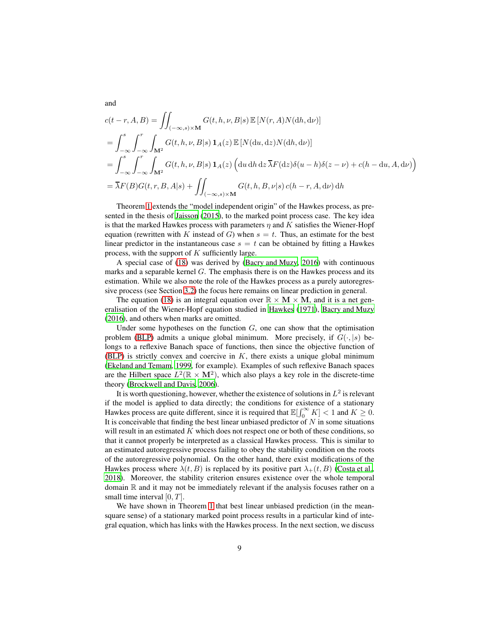$$
c(t-r, A, B) = \iint_{(-\infty, s) \times M} G(t, h, \nu, B|s) \mathbb{E}[N(r, A)N(\mathrm{d}h, \mathrm{d}\nu)]
$$
  
= 
$$
\int_{-\infty}^{s} \int_{-\infty}^{r} \int_{\mathbf{M}^2} G(t, h, \nu, B|s) \mathbf{1}_A(z) \mathbb{E}[N(\mathrm{d}u, \mathrm{d}z)N(\mathrm{d}h, \mathrm{d}\nu)]
$$
  
= 
$$
\int_{-\infty}^{s} \int_{-\infty}^{r} \int_{\mathbf{M}^2} G(t, h, \nu, B|s) \mathbf{1}_A(z) \left( \mathrm{d}u \, \mathrm{d}h \, \mathrm{d}z \, \overline{\lambda} F(\mathrm{d}z) \delta(u-h) \delta(z-\nu) + c(h - \mathrm{d}u, A, \mathrm{d}\nu) \right)
$$
  
= 
$$
\overline{\lambda} F(B) G(t, r, B, A|s) + \iint_{(-\infty, s) \times M} G(t, h, B, \nu|s) c(h - r, A, \mathrm{d}\nu) \mathrm{d}h
$$

Theorem [1](#page-7-1) extends the "model independent origin" of the Hawkes process, as presented in the thesis of [Jaisson \(2015](#page-15-0)), to the marked point process case. The key idea is that the marked Hawkes process with parameters  $\eta$  and K satisfies the Wiener-Hopf equation (rewritten with K instead of G) when  $s = t$ . Thus, an estimate for the best linear predictor in the instantaneous case  $s = t$  can be obtained by fitting a Hawkes process, with the support of  $K$  sufficiently large.

A special case of [\(18\)](#page-7-1) was derived by [\(Bacry and Muzy, 2016\)](#page-15-1) with continuous marks and a separable kernel  $G$ . The emphasis there is on the Hawkes process and its estimation. While we also note the role of the Hawkes process as a purely autoregressive process (see Section [3.2\)](#page-10-0) the focus here remains on linear prediction in general.

The equation [\(18\)](#page-7-1) is an integral equation over  $\mathbb{R} \times \mathbf{M} \times \mathbf{M}$ , and it is a net generalisation of the Wiener-Hopf equation studied in [Hawkes](#page-15-3) [\(1971\)](#page-15-3), [Bacry and Muzy](#page-15-1) [\(2016\)](#page-15-1), and others when marks are omitted.

Under some hypotheses on the function  $G$ , one can show that the optimisation problem [\(BLP\)](#page-7-0) admits a unique global minimum. More precisely, if  $G(\cdot, |s)$  belongs to a reflexive Banach space of functions, then since the objective function of  $(BLP)$  is strictly convex and coercive in K, there exists a unique global minimum [\(Ekeland and Temam, 1999,](#page-15-4) for example). Examples of such reflexive Banach spaces are the Hilbert space  $L^2(\mathbb{R} \times M^2)$ , which also plays a key role in the discrete-time theory [\(Brockwell and Davis, 2006\)](#page-15-5).

It is worth questioning, however, whether the existence of solutions in  $L^2$  is relevant if the model is applied to data directly; the conditions for existence of a stationary Hawkes process are quite different, since it is required that  $\mathbb{E}[\int_0^\infty K] < 1$  and  $K \geq 0$ . It is conceivable that finding the best linear unbiased predictor of  $N$  in some situations will result in an estimated  $K$  which does not respect one or both of these conditions, so that it cannot properly be interpreted as a classical Hawkes process. This is similar to an estimated autoregressive process failing to obey the stability condition on the roots of the autoregressive polynomial. On the other hand, there exist modifications of the Hawkes process where  $\lambda(t, B)$  is replaced by its positive part  $\lambda_{+}(t, B)$  [\(Costa et al.,](#page-15-6) [2018\)](#page-15-6). Moreover, the stability criterion ensures existence over the whole temporal domain  $\mathbb R$  and it may not be immediately relevant if the analysis focuses rather on a small time interval  $[0, T]$ .

We have shown in Theorem [1](#page-7-1) that best linear unbiased prediction (in the meansquare sense) of a stationary marked point process results in a particular kind of integral equation, which has links with the Hawkes process. In the next section, we discuss

and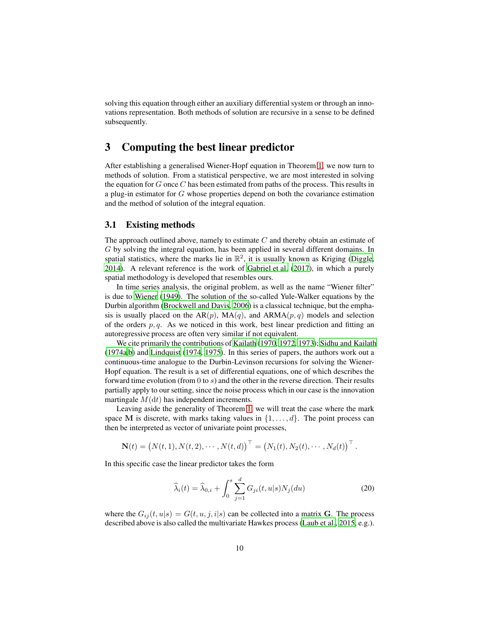solving this equation through either an auxiliary differential system or through an innovations representation. Both methods of solution are recursive in a sense to be defined subsequently.

# <span id="page-9-0"></span>3 Computing the best linear predictor

After establishing a generalised Wiener-Hopf equation in Theorem [1,](#page-7-1) we now turn to methods of solution. From a statistical perspective, we are most interested in solving the equation for  $G$  once  $C$  has been estimated from paths of the process. This results in a plug-in estimator for G whose properties depend on both the covariance estimation and the method of solution of the integral equation.

## 3.1 Existing methods

The approach outlined above, namely to estimate C and thereby obtain an estimate of G by solving the integral equation, has been applied in several different domains. In spatial statistics, where the marks lie in  $\mathbb{R}^2$ , it is usually known as Kriging [\(Diggle,](#page-15-7) [2014\)](#page-15-7). A relevant reference is the work of [Gabriel et al.](#page-15-8) [\(2017\)](#page-15-8), in which a purely spatial methodology is developed that resembles ours.

In time series analysis, the original problem, as well as the name "Wiener filter" is due to [Wiener \(1949\)](#page-16-1). The solution of the so-called Yule-Walker equations by the Durbin algorithm [\(Brockwell and Davis, 2006\)](#page-15-5) is a classical technique, but the emphasis is usually placed on the  $AR(p)$ ,  $MA(q)$ , and  $ARMA(p, q)$  models and selection of the orders  $p, q$ . As we noticed in this work, best linear prediction and fitting an autoregressive process are often very similar if not equivalent.

We cite primarily the contributions of [Kailath \(1970,](#page-15-9) [1972](#page-15-10), [1973\)](#page-15-11); [Sidhu and Kailath](#page-16-2) [\(1974a](#page-16-2)[,b\)](#page-16-3) and [Lindquist](#page-16-4) [\(1974,](#page-16-4) [1975\)](#page-16-5). In this series of papers, the authors work out a continuous-time analogue to the Durbin-Levinson recursions for solving the Wiener-Hopf equation. The result is a set of differential equations, one of which describes the forward time evolution (from 0 to  $s$ ) and the other in the reverse direction. Their results partially apply to our setting, since the noise process which in our case is the innovation martingale  $M(dt)$  has independent increments.

Leaving aside the generality of Theorem [1,](#page-7-1) we will treat the case where the mark space M is discrete, with marks taking values in  $\{1, \ldots, d\}$ . The point process can then be interpreted as vector of univariate point processes,

$$
\mathbf{N}(t) = (N(t,1), N(t,2), \cdots, N(t,d))^\top = (N_1(t), N_2(t), \cdots, N_d(t))^\top.
$$

In this specific case the linear predictor takes the form

<span id="page-9-1"></span>
$$
\widehat{\lambda}_{i}(t) = \widehat{\lambda}_{0,i} + \int_{0}^{s} \sum_{j=1}^{d} G_{ji}(t, u|s) N_{j}(du)
$$
\n(20)

where the  $G_{ij}(t, u|s) = G(t, u, j, i|s)$  can be collected into a matrix **G**. The process described above is also called the multivariate Hawkes process [\(Laub et al.](#page-16-6), [2015,](#page-16-6) e.g.).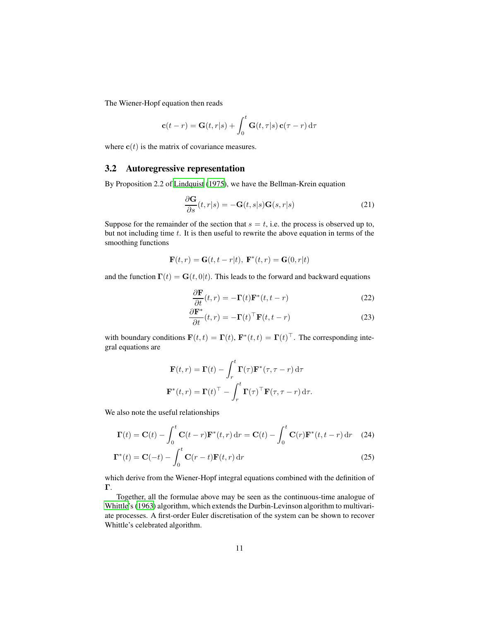The Wiener-Hopf equation then reads

$$
\mathbf{c}(t-r) = \mathbf{G}(t,r|s) + \int_0^t \mathbf{G}(t,\tau|s) \mathbf{c}(\tau-r) d\tau
$$

where  $c(t)$  is the matrix of covariance measures.

## <span id="page-10-0"></span>3.2 Autoregressive representation

By Proposition 2.2 of [Lindquist \(1975\)](#page-16-5), we have the Bellman-Krein equation

$$
\frac{\partial \mathbf{G}}{\partial s}(t, r|s) = -\mathbf{G}(t, s|s)\mathbf{G}(s, r|s)
$$
\n(21)

Suppose for the remainder of the section that  $s = t$ , i.e. the process is observed up to, but not including time  $t$ . It is then useful to rewrite the above equation in terms of the smoothing functions

$$
\mathbf{F}(t,r) = \mathbf{G}(t,t-r|t), \ \mathbf{F}^*(t,r) = \mathbf{G}(0,r|t)
$$

and the function  $\mathbf{\Gamma}(t) = \mathbf{G}(t, 0|t)$ . This leads to the forward and backward equations

<span id="page-10-1"></span>
$$
\frac{\partial \mathbf{F}}{\partial t}(t, r) = -\mathbf{\Gamma}(t)\mathbf{F}^*(t, t-r)
$$
\n(22)

$$
\frac{\partial \mathbf{F}^*}{\partial t}(t, r) = -\mathbf{\Gamma}(t)^\top \mathbf{F}(t, t - r)
$$
\n(23)

with boundary conditions  $\mathbf{F}(t,t) = \mathbf{\Gamma}(t)$ ,  $\mathbf{F}^*(t,t) = \mathbf{\Gamma}(t)^\top$ . The corresponding integral equations are

$$
\mathbf{F}(t,r) = \mathbf{\Gamma}(t) - \int_r^t \mathbf{\Gamma}(\tau) \mathbf{F}^*(\tau, \tau - r) d\tau
$$

$$
\mathbf{F}^*(t,r) = \mathbf{\Gamma}(t)^\top - \int_r^t \mathbf{\Gamma}(\tau)^\top \mathbf{F}(\tau, \tau - r) d\tau.
$$

We also note the useful relationships

$$
\mathbf{\Gamma}(t) = \mathbf{C}(t) - \int_0^t \mathbf{C}(t-r) \mathbf{F}^*(t,r) dr = \mathbf{C}(t) - \int_0^t \mathbf{C}(r) \mathbf{F}^*(t,t-r) dr \quad (24)
$$

$$
\Gamma^*(t) = \mathbf{C}(-t) - \int_0^t \mathbf{C}(r-t)\mathbf{F}(t,r) \,dr \tag{25}
$$

which derive from the Wiener-Hopf integral equations combined with the definition of Γ.

Together, all the formulae above may be seen as the continuous-time analogue of [Whittle'](#page-16-7)s [\(1963\)](#page-16-7) algorithm, which extends the Durbin-Levinson algorithm to multivariate processes. A first-order Euler discretisation of the system can be shown to recover Whittle's celebrated algorithm.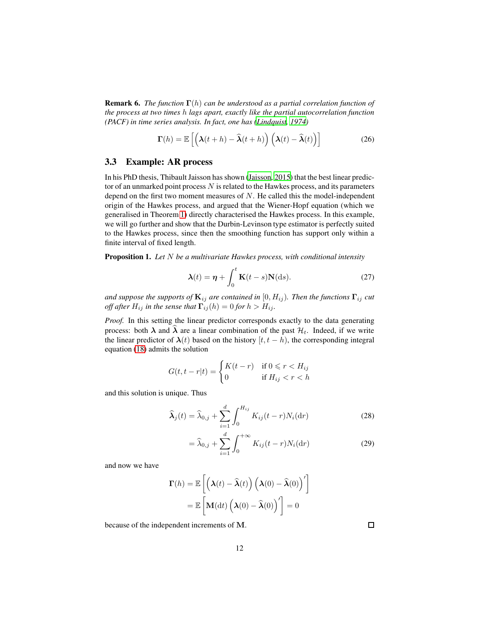Remark 6. *The function* Γ(h) *can be understood as a partial correlation function of the process at two times* h *lags apart, exactly like the partial autocorrelation function (PACF) in time series analysis. In fact, one has [\(Lindquist,](#page-16-4) [1974](#page-16-4))*

$$
\mathbf{\Gamma}(h) = \mathbb{E}\left[ \left( \boldsymbol{\lambda}(t+h) - \widehat{\boldsymbol{\lambda}}(t+h) \right) \left( \boldsymbol{\lambda}(t) - \widehat{\boldsymbol{\lambda}}(t) \right) \right]
$$
(26)

#### <span id="page-11-0"></span>3.3 Example: AR process

In his PhD thesis, Thibault Jaisson has shown [\(Jaisson, 2015\)](#page-15-0) that the best linear predictor of an unmarked point process  $N$  is related to the Hawkes process, and its parameters depend on the first two moment measures of  $N$ . He called this the model-independent origin of the Hawkes process, and argued that the Wiener-Hopf equation (which we generalised in Theorem [1\)](#page-7-1) directly characterised the Hawkes process. In this example, we will go further and show that the Durbin-Levinson type estimator is perfectly suited to the Hawkes process, since then the smoothing function has support only within a finite interval of fixed length.

Proposition 1. *Let* N *be a multivariate Hawkes process, with conditional intensity*

<span id="page-11-1"></span>
$$
\boldsymbol{\lambda}(t) = \boldsymbol{\eta} + \int_0^t \mathbf{K}(t-s) \mathbf{N}(\mathrm{d}s). \tag{27}
$$

*and suppose the supports of*  $\mathbf{K}_{ij}$  *are contained in* [0,  $H_{ij}$ )*. Then the functions*  $\mathbf{\Gamma}_{ij}$  *cut off after*  $H_{ij}$  *in the sense that*  $\Gamma_{ij}(h) = 0$  *for*  $h > H_{ij}$ *.* 

*Proof.* In this setting the linear predictor corresponds exactly to the data generating process: both  $\lambda$  and  $\lambda$  are a linear combination of the past  $\mathcal{H}_t$ . Indeed, if we write the linear predictor of  $\lambda(t)$  based on the history  $[t, t - h)$ , the corresponding integral equation [\(18\)](#page-7-1) admits the solution

$$
G(t, t - r|t) = \begin{cases} K(t - r) & \text{if } 0 \le r < H_{ij} \\ 0 & \text{if } H_{ij} < r < h \end{cases}
$$

and this solution is unique. Thus

$$
\widehat{\lambda}_{j}(t) = \widehat{\lambda}_{0,j} + \sum_{i=1}^{d} \int_{0}^{H_{ij}} K_{ij}(t-r)N_{i}(\mathrm{d}r)
$$
\n(28)

$$
= \hat{\lambda}_{0,j} + \sum_{i=1}^{d} \int_{0}^{+\infty} K_{ij}(t-r)N_{i}(\mathrm{d}r)
$$
 (29)

and now we have

$$
\mathbf{\Gamma}(h) = \mathbb{E}\left[\left(\mathbf{\lambda}(t) - \mathbf{\hat{\lambda}}(t)\right)\left(\mathbf{\lambda}(0) - \mathbf{\hat{\lambda}}(0)\right)'\right]
$$

$$
= \mathbb{E}\left[\mathbf{M}(\mathrm{d}t)\left(\mathbf{\lambda}(0) - \mathbf{\hat{\lambda}}(0)\right)'\right] = 0
$$

because of the independent increments of M.

 $\Box$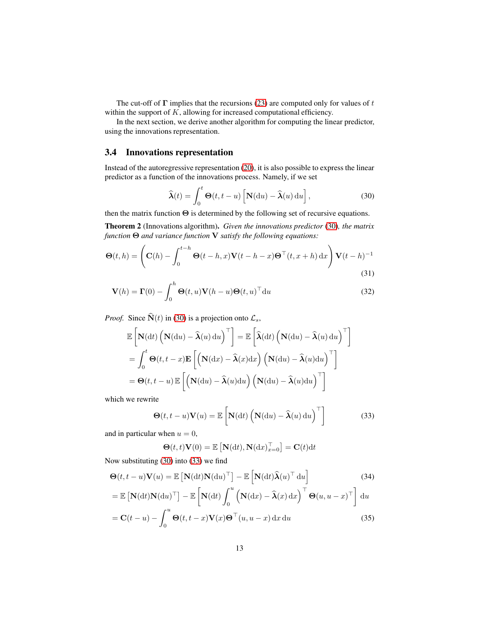The cut-off of  $\Gamma$  implies that the recursions [\(23\)](#page-10-1) are computed only for values of t within the support of  $K$ , allowing for increased computational efficiency.

In the next section, we derive another algorithm for computing the linear predictor, using the innovations representation.

## <span id="page-12-1"></span>3.4 Innovations representation

Instead of the autoregressive representation [\(20\)](#page-9-1), it is also possible to express the linear predictor as a function of the innovations process. Namely, if we set

<span id="page-12-4"></span><span id="page-12-2"></span><span id="page-12-0"></span>
$$
\widehat{\boldsymbol{\lambda}}(t) = \int_0^t \boldsymbol{\Theta}(t, t - u) \left[ \mathbf{N}(\mathrm{d}u) - \widehat{\boldsymbol{\lambda}}(u) \, \mathrm{d}u \right],\tag{30}
$$

then the matrix function  $\Theta$  is determined by the following set of recursive equations.

Theorem 2 (Innovations algorithm). *Given the innovations predictor* [\(30\)](#page-12-2)*, the matrix function* Θ *and variance function* V *satisfy the following equations:*

$$
\Theta(t,h) = \left(\mathbf{C}(h) - \int_0^{t-h} \Theta(t-h,x) \mathbf{V}(t-h-x) \Theta^\top(t,x+h) \,dx\right) \mathbf{V}(t-h)^{-1}
$$
\n(31)

$$
\mathbf{V}(h) = \mathbf{\Gamma}(0) - \int_0^h \mathbf{\Theta}(t, u) \mathbf{V}(h - u) \mathbf{\Theta}(t, u)^\top du
$$
\n(32)

*Proof.* Since  $\widehat{\mathbf{N}}(t)$  in [\(30\)](#page-12-2) is a projection onto  $\mathcal{L}_s$ ,

$$
\mathbb{E}\left[\mathbf{N}(\mathrm{d}t)\left(\mathbf{N}(\mathrm{d}u) - \widehat{\mathbf{\lambda}}(u)\,\mathrm{d}u\right)^{\top}\right] = \mathbb{E}\left[\widehat{\mathbf{\lambda}}(\mathrm{d}t)\left(\mathbf{N}(\mathrm{d}u) - \widehat{\mathbf{\lambda}}(u)\,\mathrm{d}u\right)^{\top}\right]
$$

$$
= \int_{0}^{t} \mathbf{\Theta}(t, t - x)\mathbf{E}\left[\left(\mathbf{N}(\mathrm{d}x) - \widehat{\mathbf{\lambda}}(x)\mathrm{d}x\right)\left(\mathbf{N}(\mathrm{d}u) - \widehat{\mathbf{\lambda}}(u)\mathrm{d}u\right)^{\top}\right]
$$

$$
= \mathbf{\Theta}(t, t - u)\mathbb{E}\left[\left(\mathbf{N}(\mathrm{d}u) - \widehat{\mathbf{\lambda}}(u)\mathrm{d}u\right)\left(\mathbf{N}(\mathrm{d}u) - \widehat{\mathbf{\lambda}}(u)\mathrm{d}u\right)^{\top}\right]
$$

which we rewrite

<span id="page-12-3"></span>
$$
\Theta(t, t - u)\mathbf{V}(u) = \mathbb{E}\left[\mathbf{N}(\mathrm{d}t)\left(\mathbf{N}(\mathrm{d}u) - \hat{\boldsymbol{\lambda}}(u)\,\mathrm{d}u\right)^{\top}\right]
$$
(33)

and in particular when  $u = 0$ ,

$$
\mathbf{\Theta}(t,t)\mathbf{V}(0) = \mathbb{E}\left[\mathbf{N}(\mathrm{d}t), \mathbf{N}(\mathrm{d}x)_{x=0}^{\top}\right] = \mathbf{C}(t)\mathrm{d}t
$$

Now substituting [\(30\)](#page-12-2) into [\(33\)](#page-12-3) we find

$$
\Theta(t, t - u)\mathbf{V}(u) = \mathbb{E}\left[\mathbf{N}(\mathrm{d}t)\mathbf{N}(\mathrm{d}u)^{\top}\right] - \mathbb{E}\left[\mathbf{N}(\mathrm{d}t)\hat{\mathbf{\lambda}}(u)^{\top}\mathrm{d}u\right]
$$
(34)  
\n
$$
= \mathbb{E}\left[\mathbf{N}(\mathrm{d}t)\mathbf{N}(\mathrm{d}u)^{\top}\right] - \mathbb{E}\left[\mathbf{N}(\mathrm{d}t)\int_{0}^{u} \left(\mathbf{N}(\mathrm{d}x) - \hat{\mathbf{\lambda}}(x)\,\mathrm{d}x\right)^{\top}\Theta(u, u - x)^{\top}\right] \mathrm{d}u
$$
\n
$$
= \mathbf{C}(t - u) - \int_{0}^{u} \Theta(t, t - x)\mathbf{V}(x)\Theta^{\top}(u, u - x)\,\mathrm{d}x\,\mathrm{d}u
$$
(35)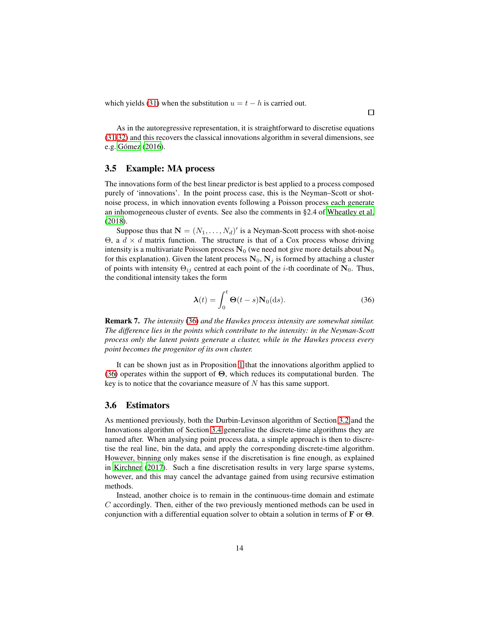which yields [\(31\)](#page-12-4) when the substitution  $u = t - h$  is carried out.

As in the autoregressive representation, it is straightforward to discretise equations [\(31](#page-12-4)[-32\)](#page-12-0) and this recovers the classical innovations algorithm in several dimensions, see e.g. Gómez (2016).

## 3.5 Example: MA process

The innovations form of the best linear predictor is best applied to a process composed purely of 'innovations'. In the point process case, this is the Neyman–Scott or shotnoise process, in which innovation events following a Poisson process each generate an inhomogeneous cluster of events. See also the comments in §2.4 of [Wheatley et al.](#page-16-8) [\(2018\)](#page-16-8).

Suppose thus that  $N = (N_1, \ldots, N_d)'$  is a Neyman-Scott process with shot-noise Θ, a  $d \times d$  matrix function. The structure is that of a Cox process whose driving intensity is a multivariate Poisson process  $N_0$  (we need not give more details about  $N_0$ for this explanation). Given the latent process  $N_0$ ,  $N_j$  is formed by attaching a cluster of points with intensity  $\Theta_{ij}$  centred at each point of the *i*-th coordinate of  $\mathbf{N}_0$ . Thus, the conditional intensity takes the form

<span id="page-13-0"></span>
$$
\mathbf{\lambda}(t) = \int_0^t \mathbf{\Theta}(t-s) \mathbf{N}_0(\mathrm{d}s). \tag{36}
$$

Remark 7. *The intensity* [\(36\)](#page-13-0) *and the Hawkes process intensity are somewhat similar. The difference lies in the points which contribute to the intensity: in the Neyman-Scott process only the latent points generate a cluster, while in the Hawkes process every point becomes the progenitor of its own cluster.*

It can be shown just as in Proposition [1](#page-11-1) that the innovations algorithm applied to [\(36\)](#page-13-0) operates within the support of  $\Theta$ , which reduces its computational burden. The key is to notice that the covariance measure of  $N$  has this same support.

#### 3.6 Estimators

As mentioned previously, both the Durbin-Levinson algorithm of Section [3.2](#page-10-0) and the Innovations algorithm of Section [3.4](#page-12-1) generalise the discrete-time algorithms they are named after. When analysing point process data, a simple approach is then to discretise the real line, bin the data, and apply the corresponding discrete-time algorithm. However, binning only makes sense if the discretisation is fine enough, as explained in [Kirchner \(2017\)](#page-16-9). Such a fine discretisation results in very large sparse systems, however, and this may cancel the advantage gained from using recursive estimation methods.

Instead, another choice is to remain in the continuous-time domain and estimate C accordingly. Then, either of the two previously mentioned methods can be used in conjunction with a differential equation solver to obtain a solution in terms of  $\bf{F}$  or  $\bf{\Theta}$ .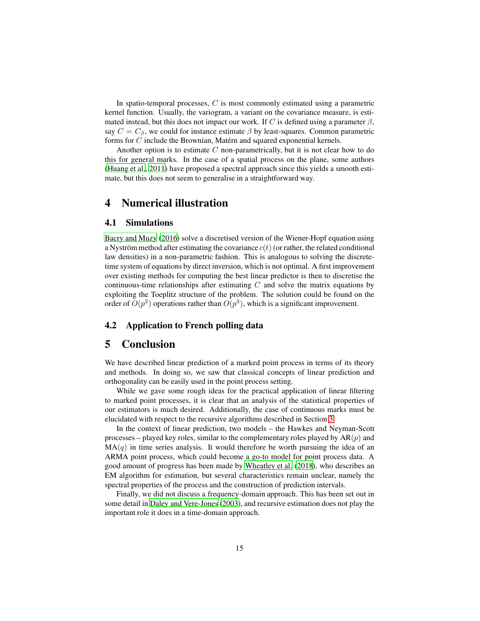In spatio-temporal processes, C is most commonly estimated using a parametric kernel function. Usually, the variogram, a variant on the covariance measure, is estimated instead, but this does not impact our work. If C is defined using a parameter  $\beta$ , say  $C = C_{\beta}$ , we could for instance estimate  $\beta$  by least-squares. Common parametric forms for  $C$  include the Brownian, Matérn and squared exponential kernels.

Another option is to estimate  $C$  non-parametrically, but it is not clear how to do this for general marks. In the case of a spatial process on the plane, some authors [\(Huang et al., 2011\)](#page-15-13) have proposed a spectral approach since this yields a smooth estimate, but this does not seem to generalise in a straightforward way.

# 4 Numerical illustration

#### 4.1 Simulations

[Bacry and Muzy \(2016\)](#page-15-1) solve a discretised version of the Wiener-Hopf equation using a Nyström method after estimating the covariance  $c(t)$  (or rather, the related conditional law densities) in a non-parametric fashion. This is analogous to solving the discretetime system of equations by direct inversion, which is not optimal. A first improvement over existing methods for computing the best linear predictor is then to discretise the continuous-time relationships after estimating  $C$  and solve the matrix equations by exploiting the Toeplitz structure of the problem. The solution could be found on the order of  $O(p^2)$  operations rather than  $O(p^3)$ , which is a significant improvement.

## <span id="page-14-0"></span>4.2 Application to French polling data

# 5 Conclusion

We have described linear prediction of a marked point process in terms of its theory and methods. In doing so, we saw that classical concepts of linear prediction and orthogonality can be easily used in the point process setting.

While we gave some rough ideas for the practical application of linear filtering to marked point processes, it is clear that an analysis of the statistical properties of our estimators is much desired. Additionally, the case of continuous marks must be elucidated with respect to the recursive algorithms described in Section [3.](#page-9-0)

In the context of linear prediction, two models – the Hawkes and Neyman-Scott processes – played key roles, similar to the complementary roles played by  $AR(p)$  and  $MA(q)$  in time series analysis. It would therefore be worth pursuing the idea of an ARMA point process, which could become a go-to model for point process data. A good amount of progress has been made by [Wheatley et al. \(2018](#page-16-8)), who describes an EM algorithm for estimation, but several characteristics remain unclear, namely the spectral properties of the process and the construction of prediction intervals.

Finally, we did not discuss a frequency-domain approach. This has been set out in some detail in [Daley and Vere-Jones](#page-15-2) [\(2003\)](#page-15-2), and recursive estimation does not play the important role it does in a time-domain approach.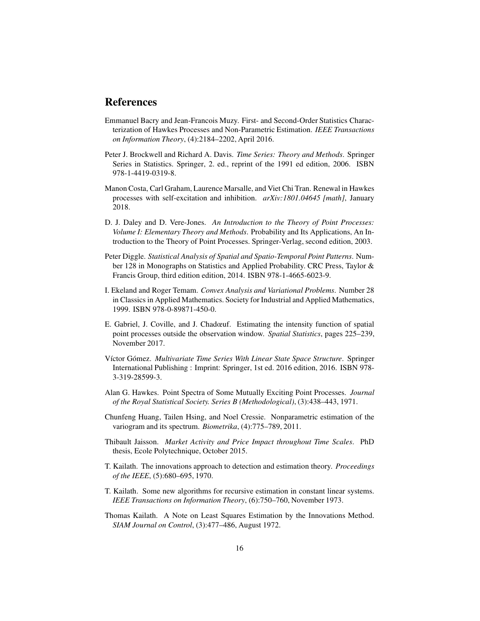# References

- <span id="page-15-1"></span>Emmanuel Bacry and Jean-Francois Muzy. First- and Second-Order Statistics Characterization of Hawkes Processes and Non-Parametric Estimation. *IEEE Transactions on Information Theory*, (4):2184–2202, April 2016.
- <span id="page-15-5"></span>Peter J. Brockwell and Richard A. Davis. *Time Series: Theory and Methods*. Springer Series in Statistics. Springer, 2. ed., reprint of the 1991 ed edition, 2006. ISBN 978-1-4419-0319-8.
- <span id="page-15-6"></span>Manon Costa, Carl Graham, Laurence Marsalle, and Viet Chi Tran. Renewal in Hawkes processes with self-excitation and inhibition. *arXiv:1801.04645 [math]*, January 2018.
- <span id="page-15-2"></span>D. J. Daley and D. Vere-Jones. *An Introduction to the Theory of Point Processes: Volume I: Elementary Theory and Methods*. Probability and Its Applications, An Introduction to the Theory of Point Processes. Springer-Verlag, second edition, 2003.
- <span id="page-15-7"></span>Peter Diggle. *Statistical Analysis of Spatial and Spatio-Temporal Point Patterns*. Number 128 in Monographs on Statistics and Applied Probability. CRC Press, Taylor & Francis Group, third edition edition, 2014. ISBN 978-1-4665-6023-9.
- <span id="page-15-4"></span>I. Ekeland and Roger Temam. *Convex Analysis and Variational Problems*. Number 28 in Classics in Applied Mathematics. Society for Industrial and Applied Mathematics, 1999. ISBN 978-0-89871-450-0.
- <span id="page-15-8"></span>E. Gabriel, J. Coville, and J. Chadœuf. Estimating the intensity function of spatial point processes outside the observation window. *Spatial Statistics*, pages 225–239, November 2017.
- <span id="page-15-12"></span>Víctor Gómez. Multivariate Time Series With Linear State Space Structure. Springer International Publishing : Imprint: Springer, 1st ed. 2016 edition, 2016. ISBN 978- 3-319-28599-3.
- <span id="page-15-3"></span>Alan G. Hawkes. Point Spectra of Some Mutually Exciting Point Processes. *Journal of the Royal Statistical Society. Series B (Methodological)*, (3):438–443, 1971.
- <span id="page-15-13"></span>Chunfeng Huang, Tailen Hsing, and Noel Cressie. Nonparametric estimation of the variogram and its spectrum. *Biometrika*, (4):775–789, 2011.
- <span id="page-15-0"></span>Thibault Jaisson. *Market Activity and Price Impact throughout Time Scales*. PhD thesis, Ecole Polytechnique, October 2015.
- <span id="page-15-9"></span>T. Kailath. The innovations approach to detection and estimation theory. *Proceedings of the IEEE*, (5):680–695, 1970.
- <span id="page-15-11"></span>T. Kailath. Some new algorithms for recursive estimation in constant linear systems. *IEEE Transactions on Information Theory*, (6):750–760, November 1973.
- <span id="page-15-10"></span>Thomas Kailath. A Note on Least Squares Estimation by the Innovations Method. *SIAM Journal on Control*, (3):477–486, August 1972.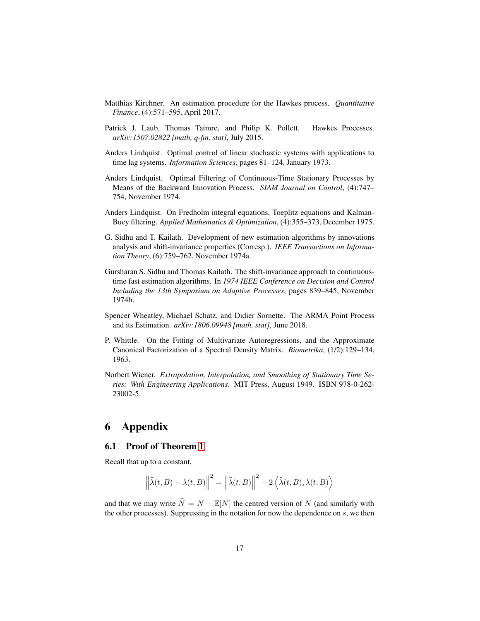- <span id="page-16-9"></span>Matthias Kirchner. An estimation procedure for the Hawkes process. *Quantitative Finance*, (4):571–595, April 2017.
- <span id="page-16-6"></span>Patrick J. Laub, Thomas Taimre, and Philip K. Pollett. Hawkes Processes. *arXiv:1507.02822 [math, q-fin, stat]*, July 2015.
- <span id="page-16-0"></span>Anders Lindquist. Optimal control of linear stochastic systems with applications to time lag systems. *Information Sciences*, pages 81–124, January 1973.
- <span id="page-16-4"></span>Anders Lindquist. Optimal Filtering of Continuous-Time Stationary Processes by Means of the Backward Innovation Process. *SIAM Journal on Control*, (4):747– 754, November 1974.
- <span id="page-16-5"></span>Anders Lindquist. On Fredholm integral equations, Toeplitz equations and Kalman-Bucy filtering. *Applied Mathematics & Optimization*, (4):355–373, December 1975.
- <span id="page-16-2"></span>G. Sidhu and T. Kailath. Development of new estimation algorithms by innovations analysis and shift-invariance properties (Corresp.). *IEEE Transactions on Information Theory*, (6):759–762, November 1974a.
- <span id="page-16-3"></span>Gursharan S. Sidhu and Thomas Kailath. The shift-invariance approach to continuoustime fast estimation algorithms. In *1974 IEEE Conference on Decision and Control Including the 13th Symposium on Adaptive Processes*, pages 839–845, November 1974b.
- <span id="page-16-8"></span>Spencer Wheatley, Michael Schatz, and Didier Sornette. The ARMA Point Process and its Estimation. *arXiv:1806.09948 [math, stat]*, June 2018.
- <span id="page-16-7"></span>P. Whittle. On the Fitting of Multivariate Autoregressions, and the Approximate Canonical Factorization of a Spectral Density Matrix. *Biometrika*, (1/2):129–134, 1963.
- <span id="page-16-1"></span>Norbert Wiener. *Extrapolation, Interpolation, and Smoothing of Stationary Time Series: With Engineering Applications*. MIT Press, August 1949. ISBN 978-0-262- 23002-5.

# 6 Appendix

#### 6.1 Proof of Theorem [1](#page-7-1)

Recall that up to a constant,

$$
\left\| \widehat{\lambda}(t,B) - \lambda(t,B) \right\|^2 = \left\| \widehat{\lambda}(t,B) \right\|^2 - 2 \left\langle \widehat{\lambda}(t,B), \lambda(t,B) \right\rangle
$$

and that we may write  $\widetilde{N} = N - \mathbb{E}[N]$  the centred version of N (and similarly with the other processes). Suppressing in the notation for now the dependence on  $s$ , we then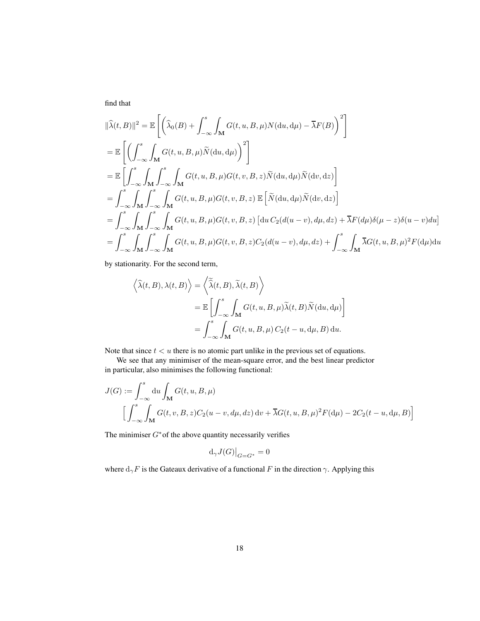find that

$$
\begin{split}\n\|\widehat{\lambda}(t,B)\|^{2} &= \mathbb{E}\left[\left(\widehat{\lambda}_{0}(B)+\int_{-\infty}^{s}\int_{\mathbf{M}}G(t,u,B,\mu)N(\mathrm{d}u,\mathrm{d}\mu)-\overline{\lambda}F(B)\right)^{2}\right] \\
&= \mathbb{E}\left[\left(\int_{-\infty}^{s}\int_{\mathbf{M}}G(t,u,B,\mu)\widetilde{N}(\mathrm{d}u,\mathrm{d}\mu)\right)^{2}\right] \\
&= \mathbb{E}\left[\int_{-\infty}^{s}\int_{\mathbf{M}}\int_{-\infty}^{s}\int_{\mathbf{M}}G(t,u,B,\mu)G(t,v,B,z)\widetilde{N}(\mathrm{d}u,\mathrm{d}\mu)\widetilde{N}(\mathrm{d}v,\mathrm{d}z)\right] \\
&= \int_{-\infty}^{s}\int_{\mathbf{M}}\int_{-\infty}^{s}\int_{\mathbf{M}}G(t,u,B,\mu)G(t,v,B,z)\,\mathbb{E}\left[\widetilde{N}(\mathrm{d}u,\mathrm{d}\mu)\widetilde{N}(\mathrm{d}v,\mathrm{d}z)\right] \\
&= \int_{-\infty}^{s}\int_{\mathbf{M}}\int_{-\infty}^{s}\int_{\mathbf{M}}G(t,u,B,\mu)G(t,v,B,z)\left[\mathrm{d}u\,C_{2}(d(u-v),\mathrm{d}\mu,\mathrm{d}z)+\overline{\lambda}F(\mathrm{d}\mu)\delta(\mu-z)\delta(u-v)\mathrm{d}u\right] \\
&= \int_{-\infty}^{s}\int_{\mathbf{M}}\int_{-\infty}^{s}\int_{\mathbf{M}}G(t,u,B,\mu)G(t,v,B,z)C_{2}(d(u-v),\mathrm{d}\mu,\mathrm{d}z)+\int_{-\infty}^{s}\int_{\mathbf{M}}\overline{\lambda}G(t,u,B,\mu)^{2}F(\mathrm{d}\mu)\mathrm{d}u\n\end{split}
$$

by stationarity. For the second term,

$$
\langle \hat{\lambda}(t, B), \lambda(t, B) \rangle = \langle \hat{\tilde{\lambda}}(t, B), \tilde{\lambda}(t, B) \rangle
$$
  
=  $\mathbb{E} \left[ \int_{-\infty}^{s} \int_{\mathbf{M}} G(t, u, B, \mu) \tilde{\lambda}(t, B) \tilde{N}(\mathrm{d}u, \mathrm{d}\mu) \right]$   
=  $\int_{-\infty}^{s} \int_{\mathbf{M}} G(t, u, B, \mu) C_2(t - u, \mathrm{d}\mu, B) \mathrm{d}u.$ 

Note that since  $t < u$  there is no atomic part unlike in the previous set of equations.

We see that any minimiser of the mean-square error, and the best linear predictor in particular, also minimises the following functional:

$$
J(G) := \int_{-\infty}^{s} du \int_{\mathbf{M}} G(t, u, B, \mu)
$$
  

$$
\left[ \int_{-\infty}^{s} \int_{\mathbf{M}} G(t, v, B, z) C_2(u - v, d\mu, dz) dv + \overline{\lambda} G(t, u, B, \mu)^2 F(d\mu) - 2C_2(t - u, d\mu, B) \right]
$$

The minimiser  $G^*$  of the above quantity necessarily verifies

$$
\left.\mathrm{d}_\gamma J(G)\right|_{G=G^*}=0
$$

where  $d_{\gamma}F$  is the Gateaux derivative of a functional F in the direction  $\gamma$ . Applying this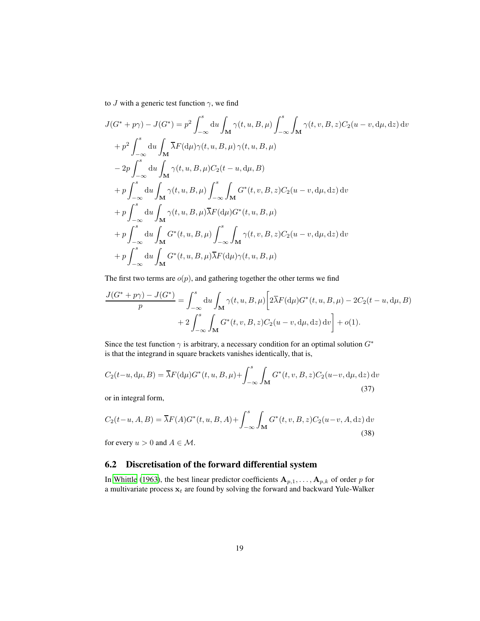to J with a generic test function  $\gamma$ , we find

$$
J(G^* + p\gamma) - J(G^*) = p^2 \int_{-\infty}^s du \int_M \gamma(t, u, B, \mu) \int_{-\infty}^s \int_M \gamma(t, v, B, z) C_2(u - v, d\mu, dz) dv
$$
  
+  $p^2 \int_{-\infty}^s du \int_M \overline{\lambda} F(d\mu) \gamma(t, u, B, \mu) \gamma(t, u, B, \mu)$   
-  $2p \int_{-\infty}^s du \int_M \gamma(t, u, B, \mu) C_2(t - u, d\mu, B)$   
+  $p \int_{-\infty}^s du \int_M \gamma(t, u, B, \mu) \int_{-\infty}^s \int_M G^*(t, v, B, z) C_2(u - v, d\mu, dz) dv$   
+  $p \int_{-\infty}^s du \int_M \gamma(t, u, B, \mu) \overline{\lambda} F(d\mu) G^*(t, u, B, \mu)$   
+  $p \int_{-\infty}^s du \int_M G^*(t, u, B, \mu) \int_{-\infty}^s \int_M \gamma(t, v, B, z) C_2(u - v, d\mu, dz) dv$   
+  $p \int_{-\infty}^s du \int_M G^*(t, u, B, \mu) \overline{\lambda} F(d\mu) \gamma(t, u, B, \mu)$ 

The first two terms are  $o(p)$ , and gathering together the other terms we find

$$
\frac{J(G^* + p\gamma) - J(G^*)}{p} = \int_{-\infty}^s du \int_{\mathbf{M}} \gamma(t, u, B, \mu) \left[ 2\overline{\lambda} F(\mathrm{d}\mu) G^*(t, u, B, \mu) - 2C_2(t - u, \mathrm{d}\mu, B) + 2 \int_{-\infty}^s \int_{\mathbf{M}} G^*(t, v, B, z) C_2(u - v, \mathrm{d}\mu, \mathrm{d}z) \, \mathrm{d}v \right] + o(1).
$$

Since the test function  $\gamma$  is arbitrary, a necessary condition for an optimal solution  $G^*$ is that the integrand in square brackets vanishes identically, that is,

$$
C_2(t-u,\mathrm{d}\mu,B) = \overline{\lambda}F(\mathrm{d}\mu)G^*(t,u,B,\mu) + \int_{-\infty}^s \int_{\mathbf{M}} G^*(t,v,B,z)C_2(u-v,\mathrm{d}\mu,\mathrm{d}z) \,\mathrm{d}v
$$
\n(37)

or in integral form,

$$
C_2(t-u, A, B) = \overline{\lambda}F(A)G^*(t, u, B, A) + \int_{-\infty}^s \int_M G^*(t, v, B, z)C_2(u-v, A, dz) dv
$$
\n(38)

for every  $u > 0$  and  $A \in \mathcal{M}$ .

# 6.2 Discretisation of the forward differential system

In [Whittle \(1963](#page-16-7)), the best linear predictor coefficients  $A_{p,1}, \ldots, A_{p,k}$  of order p for a multivariate process  $x_t$  are found by solving the forward and backward Yule-Walker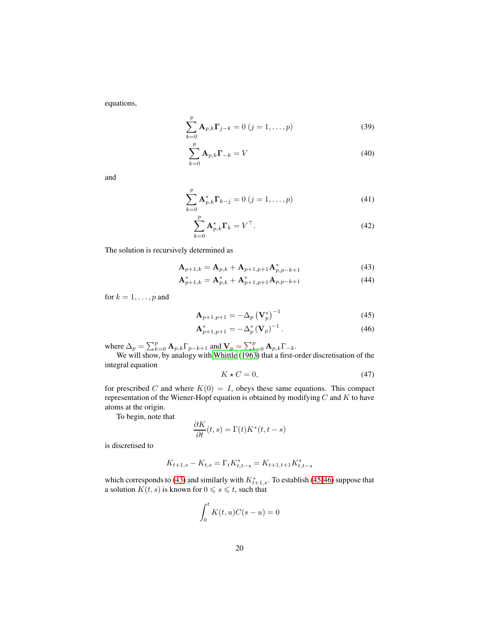equations,

$$
\sum_{k=0}^{p} \mathbf{A}_{p,k} \mathbf{\Gamma}_{j-k} = 0 \ (j = 1, \dots, p)
$$
 (39)

$$
\sum_{k=0}^{p} \mathbf{A}_{p,k} \mathbf{\Gamma}_{-k} = V \tag{40}
$$

and

$$
\sum_{k=0}^{p} \mathbf{A}_{p,k}^{*} \mathbf{\Gamma}_{k-j} = 0 \ (j = 1, \dots, p)
$$
 (41)

<span id="page-19-0"></span>
$$
\sum_{k=0}^{p} \mathbf{A}_{p,k}^{*} \mathbf{\Gamma}_{k} = V^{\top}.
$$
 (42)

The solution is recursively determined as

$$
\mathbf{A}_{p+1,k} = \mathbf{A}_{p,k} + \mathbf{A}_{p+1,p+1} \mathbf{A}_{p,p-k+1}^* \tag{43}
$$

$$
\mathbf{A}_{p+1,k}^* = \mathbf{A}_{p,k}^* + \mathbf{A}_{p+1,p+1}^* \mathbf{A}_{p,p-k+1}
$$
(44)

for  $k = 1, \ldots, p$  and

$$
\mathbf{A}_{p+1,p+1} = -\Delta_p \left( \mathbf{V}_p^* \right)^{-1} \tag{45}
$$

$$
\mathbf{A}_{p+1,p+1}^{*} = -\Delta_{p}^{*}(\mathbf{V}_{p})^{-1}.
$$
 (46)

where  $\Delta_p = \sum_{k=0}^p \mathbf{A}_{p,k} \Gamma_{p-k+1}$  and  $\mathbf{V}_p = \sum_{k=0}^p \mathbf{A}_{p,k} \Gamma_{-k}$ .

We will show, by analogy with [Whittle \(1963\)](#page-16-7) that a first-order discretisation of the integral equation

<span id="page-19-2"></span><span id="page-19-1"></span>
$$
K \star C = 0,\tag{47}
$$

for prescribed C and where  $K(0) = I$ , obeys these same equations. This compact representation of the Wiener-Hopf equation is obtained by modifying  $C$  and  $K$  to have atoms at the origin.

To begin, note that

$$
\frac{\partial K}{\partial t}(t,s) = \Gamma(t)K^*(t,t-s)
$$

is discretised to

$$
K_{t+1,s} - K_{t,s} = \Gamma_t K_{t,t-s}^* = K_{t+1,t+1} K_{t,t-s}^*
$$

which corresponds to [\(43\)](#page-19-0) and similarly with  $K^*_{t+1,s}$ . To establish [\(45-](#page-19-1)[46\)](#page-19-2) suppose that a solution  $K(t, s)$  is known for  $0 \le s \le t$ , such that

$$
\int_0^t K(t, u)C(s - u) = 0
$$